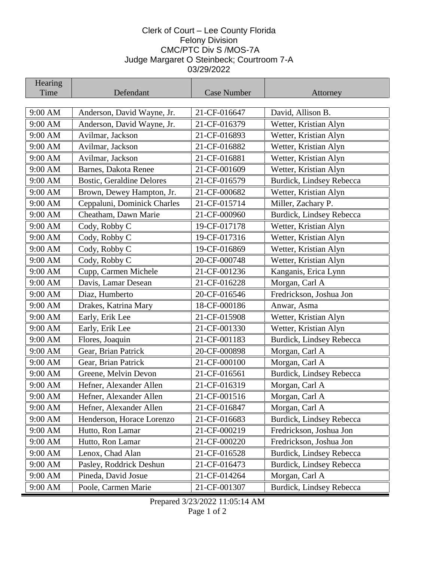## Clerk of Court – Lee County Florida Felony Division CMC/PTC Div S /MOS-7A Judge Margaret O Steinbeck; Courtroom 7-A 03/29/2022

| Hearing            |                                                     |              |                          |
|--------------------|-----------------------------------------------------|--------------|--------------------------|
| Time               | Defendant                                           | Case Number  | Attorney                 |
| 9:00 AM            | Anderson, David Wayne, Jr.                          | 21-CF-016647 | David, Allison B.        |
| 9:00 AM            | Anderson, David Wayne, Jr.                          | 21-CF-016379 | Wetter, Kristian Alyn    |
| 9:00 AM            | Avilmar, Jackson                                    | 21-CF-016893 | Wetter, Kristian Alyn    |
| 9:00 AM            | Avilmar, Jackson                                    | 21-CF-016882 | Wetter, Kristian Alyn    |
| 9:00 AM            | Avilmar, Jackson                                    | 21-CF-016881 | Wetter, Kristian Alyn    |
| 9:00 AM            | <b>Barnes, Dakota Renee</b>                         | 21-CF-001609 | Wetter, Kristian Alyn    |
| 9:00 AM            | <b>Bostic, Geraldine Delores</b>                    | 21-CF-016579 | Burdick, Lindsey Rebecca |
| 9:00 AM            | Brown, Dewey Hampton, Jr.                           | 21-CF-000682 | Wetter, Kristian Alyn    |
| 9:00 AM            |                                                     | 21-CF-015714 | Miller, Zachary P.       |
| 9:00 AM            | Ceppaluni, Dominick Charles<br>Cheatham, Dawn Marie | 21-CF-000960 | Burdick, Lindsey Rebecca |
| 9:00 AM            | Cody, Robby C                                       | 19-CF-017178 | Wetter, Kristian Alyn    |
|                    |                                                     | 19-CF-017316 | Wetter, Kristian Alyn    |
| 9:00 AM<br>9:00 AM | Cody, Robby C                                       | 19-CF-016869 | Wetter, Kristian Alyn    |
| 9:00 AM            | Cody, Robby C                                       | 20-CF-000748 | Wetter, Kristian Alyn    |
|                    | Cody, Robby C                                       |              |                          |
| 9:00 AM            | Cupp, Carmen Michele                                | 21-CF-001236 | Kanganis, Erica Lynn     |
| 9:00 AM            | Davis, Lamar Desean                                 | 21-CF-016228 | Morgan, Carl A           |
| 9:00 AM            | Diaz, Humberto                                      | 20-CF-016546 | Fredrickson, Joshua Jon  |
| 9:00 AM            | Drakes, Katrina Mary                                | 18-CF-000186 | Anwar, Asma              |
| 9:00 AM            | Early, Erik Lee                                     | 21-CF-015908 | Wetter, Kristian Alyn    |
| 9:00 AM            | Early, Erik Lee                                     | 21-CF-001330 | Wetter, Kristian Alyn    |
| 9:00 AM            | Flores, Joaquin                                     | 21-CF-001183 | Burdick, Lindsey Rebecca |
| 9:00 AM            | Gear, Brian Patrick                                 | 20-CF-000898 | Morgan, Carl A           |
| 9:00 AM            | Gear, Brian Patrick                                 | 21-CF-000100 | Morgan, Carl A           |
| 9:00 AM            | Greene, Melvin Devon                                | 21-CF-016561 | Burdick, Lindsey Rebecca |
| 9:00 AM            | Hefner, Alexander Allen                             | 21-CF-016319 | Morgan, Carl A           |
| 9:00 AM            | Hefner, Alexander Allen                             | 21-CF-001516 | Morgan, Carl A           |
| 9:00 AM            | Hefner, Alexander Allen                             | 21-CF-016847 | Morgan, Carl A           |
| 9:00 AM            | Henderson, Horace Lorenzo                           | 21-CF-016683 | Burdick, Lindsey Rebecca |
| 9:00 AM            | Hutto, Ron Lamar                                    | 21-CF-000219 | Fredrickson, Joshua Jon  |
| 9:00 AM            | Hutto, Ron Lamar                                    | 21-CF-000220 | Fredrickson, Joshua Jon  |
| 9:00 AM            | Lenox, Chad Alan                                    | 21-CF-016528 | Burdick, Lindsey Rebecca |
| 9:00 AM            | Pasley, Roddrick Deshun                             | 21-CF-016473 | Burdick, Lindsey Rebecca |
| 9:00 AM            | Pineda, David Josue                                 | 21-CF-014264 | Morgan, Carl A           |
| 9:00 AM            | Poole, Carmen Marie                                 | 21-CF-001307 | Burdick, Lindsey Rebecca |